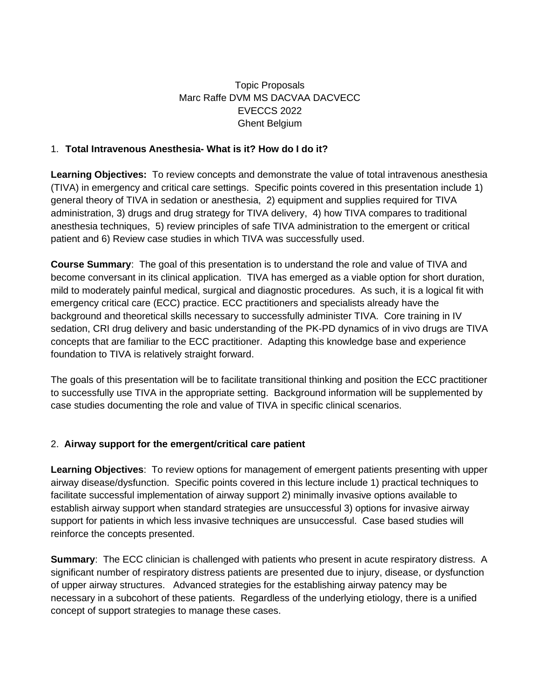## Topic Proposals Marc Raffe DVM MS DACVAA DACVECC EVECCS 2022 Ghent Belgium

## 1. **Total Intravenous Anesthesia- What is it? How do I do it?**

**Learning Objectives:** To review concepts and demonstrate the value of total intravenous anesthesia (TIVA) in emergency and critical care settings. Specific points covered in this presentation include 1) general theory of TIVA in sedation or anesthesia, 2) equipment and supplies required for TIVA administration, 3) drugs and drug strategy for TIVA delivery, 4) how TIVA compares to traditional anesthesia techniques, 5) review principles of safe TIVA administration to the emergent or critical patient and 6) Review case studies in which TIVA was successfully used.

**Course Summary**: The goal of this presentation is to understand the role and value of TIVA and become conversant in its clinical application. TIVA has emerged as a viable option for short duration, mild to moderately painful medical, surgical and diagnostic procedures. As such, it is a logical fit with emergency critical care (ECC) practice. ECC practitioners and specialists already have the background and theoretical skills necessary to successfully administer TIVA. Core training in IV sedation, CRI drug delivery and basic understanding of the PK-PD dynamics of in vivo drugs are TIVA concepts that are familiar to the ECC practitioner. Adapting this knowledge base and experience foundation to TIVA is relatively straight forward.

The goals of this presentation will be to facilitate transitional thinking and position the ECC practitioner to successfully use TIVA in the appropriate setting. Background information will be supplemented by case studies documenting the role and value of TIVA in specific clinical scenarios.

## 2. **Airway support for the emergent/critical care patient**

**Learning Objectives**: To review options for management of emergent patients presenting with upper airway disease/dysfunction. Specific points covered in this lecture include 1) practical techniques to facilitate successful implementation of airway support 2) minimally invasive options available to establish airway support when standard strategies are unsuccessful 3) options for invasive airway support for patients in which less invasive techniques are unsuccessful. Case based studies will reinforce the concepts presented.

**Summary**: The ECC clinician is challenged with patients who present in acute respiratory distress. A significant number of respiratory distress patients are presented due to injury, disease, or dysfunction of upper airway structures. Advanced strategies for the establishing airway patency may be necessary in a subcohort of these patients. Regardless of the underlying etiology, there is a unified concept of support strategies to manage these cases.